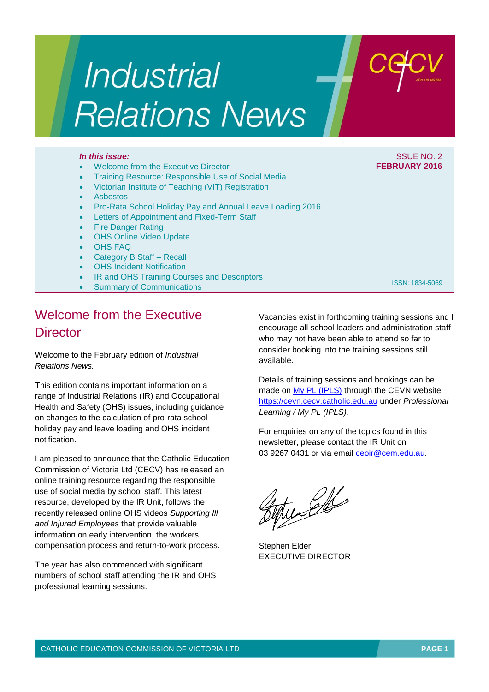# Industrial **Relations News**

#### Welcome from the Executive Director

- Training Resource: Responsible Use of Social Media
- Victorian Institute of Teaching (VIT) Registration
- Asbestos
- Pro-Rata School Holiday Pay and Annual Leave Loading 2016
- Letters of Appointment and Fixed-Term Staff
- **Fire Danger Rating**
- OHS Online Video Update
- OHS FAQ
- Category B Staff Recall
- OHS Incident Notification
- IR and OHS Training Courses and Descriptors
- Summary of Communications

## Welcome from the Executive **Director**

Welcome to the February edition of *Industrial Relations News.*

This edition contains important information on a range of Industrial Relations (IR) and Occupational Health and Safety (OHS) issues, including guidance on changes to the calculation of pro-rata school holiday pay and leave loading and OHS incident notification.

I am pleased to announce that the Catholic Education Commission of Victoria Ltd (CECV) has released an online training resource regarding the responsible use of social media by school staff. This latest resource, developed by the IR Unit, follows the recently released online OHS videos *Supporting Ill and Injured Employees* that provide valuable information on early intervention, the workers compensation process and return-to-work process.

The year has also commenced with significant numbers of school staff attending the IR and OHS professional learning sessions.

Vacancies exist in forthcoming training sessions and I encourage all school leaders and administration staff who may not have been able to attend so far to consider booking into the training sessions still available.

Details of training sessions and bookings can be made on [My PL \(IPLS\)](http://cevn.cecv.catholic.edu.au/ProfessionalLearning.aspx?id=7160) through the CEVN website [https://cevn.cecv.catholic.edu.au](https://cevn.cecv.catholic.edu.au/) under *Professional Learning / My PL (IPLS)*.

For enquiries on any of the topics found in this newsletter, please contact the IR Unit on 03 9267 0431 or via email [ceoir@cem.edu.au.](mailto:ceoir@cem.edu.au)

tuselle

Stephen Elder EXECUTIVE DIRECTOR

*In this issue:* ISSUE NO. 2 **FEBRUARY 2016**

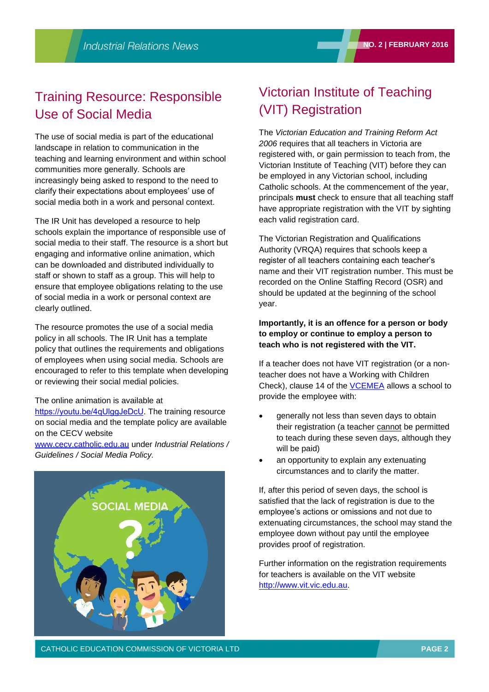## Training Resource: Responsible Use of Social Media

The use of social media is part of the educational landscape in relation to communication in the teaching and learning environment and within school communities more generally. Schools are increasingly being asked to respond to the need to clarify their expectations about employees' use of social media both in a work and personal context.

The IR Unit has developed a resource to help schools explain the importance of responsible use of social media to their staff. The resource is a short but engaging and informative online animation, which can be downloaded and distributed individually to staff or shown to staff as a group. This will help to ensure that employee obligations relating to the use of social media in a work or personal context are clearly outlined.

The resource promotes the use of a social media policy in all schools. The IR Unit has a template policy that outlines the requirements and obligations of employees when using social media. Schools are encouraged to refer to this template when developing or reviewing their social medial policies.

#### The online animation is available at

<https://youtu.be/4qUlggJeDcU>. The training resource on social media and the template policy are available on the CECV website

[www.cecv.catholic.edu.au](http://www.cecv.catholic.edu.au/) under *Industrial Relations / Guidelines / Social Media Policy.* 



## Victorian Institute of Teaching (VIT) Registration

The *Victorian Education and Training Reform Act 2006* requires that all teachers in Victoria are registered with, or gain permission to teach from, the Victorian Institute of Teaching (VIT) before they can be employed in any Victorian school, including Catholic schools. At the commencement of the year, principals **must** check to ensure that all teaching staff have appropriate registration with the VIT by sighting each valid registration card.

The Victorian Registration and Qualifications Authority (VRQA) requires that schools keep a register of all teachers containing each teacher's name and their VIT registration number. This must be recorded on the Online Staffing Record (OSR) and should be updated at the beginning of the school year.

### **Importantly, it is an offence for a person or body to employ or continue to employ a person to teach who is not registered with the VIT.**

If a teacher does not have VIT registration (or a nonteacher does not have a Working with Children Check), clause 14 of the [VCEMEA](http://www.cecv.catholic.edu.au/vcsa/Agreement_2013/VCEMEA_2013.pdf) allows a school to provide the employee with:

- generally not less than seven days to obtain their registration (a teacher cannot be permitted to teach during these seven days, although they will be paid)
- an opportunity to explain any extenuating circumstances and to clarify the matter.

If, after this period of seven days, the school is satisfied that the lack of registration is due to the employee's actions or omissions and not due to extenuating circumstances, the school may stand the employee down without pay until the employee provides proof of registration.

Further information on the registration requirements for teachers is available on the VIT website [http://www.vit.vic.edu.au.](http://www.vit.vic.edu.au/)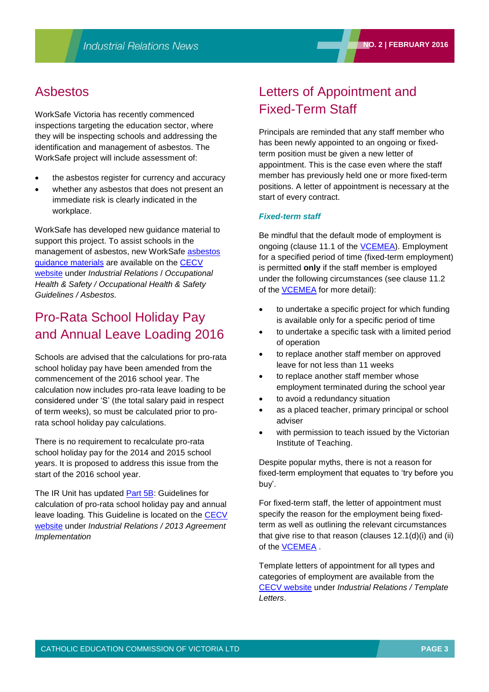## Asbestos

WorkSafe Victoria has recently commenced inspections targeting the education sector, where they will be inspecting schools and addressing the identification and management of asbestos. The WorkSafe project will include assessment of:

- the asbestos register for currency and accuracy
- whether any asbestos that does not present an immediate risk is clearly indicated in the workplace.

WorkSafe has developed new guidance material to support this project. To assist schools in the management of asbestos, new WorkSafe [asbestos](http://www.cecv.catholic.edu.au/vcsa/ohands/guidelines/asbestos.html)  [guidance materials](http://www.cecv.catholic.edu.au/vcsa/ohands/guidelines/asbestos.html) are available on the [CECV](http://www.cecv.catholic.edu.au/default.htm)  [website](http://www.cecv.catholic.edu.au/default.htm) under *Industrial Relations* / *Occupational Health & Safety / Occupational Health & Safety Guidelines / Asbestos.*

## Pro-Rata School Holiday Pay and Annual Leave Loading 2016

Schools are advised that the calculations for pro-rata school holiday pay have been amended from the commencement of the 2016 school year. The calculation now includes pro-rata leave loading to be considered under 'S' (the total salary paid in respect of term weeks), so must be calculated prior to prorata school holiday pay calculations.

There is no requirement to recalculate pro-rata school holiday pay for the 2014 and 2015 school years. It is proposed to address this issue from the start of the 2016 school year.

The IR Unit has updated [Part 5B:](http://www.cecv.catholic.edu.au/vcsa/Implementation_Guidelines/School_Holiday_Pay_2016/Part_5B_School_Holiday_Pay_Implementation_Guide.pdf) Guidelines for calculation of pro-rata school holiday pay and annual leave loading*.* This Guideline is located on the [CECV](http://www.cecv.catholic.edu.au/default.htm)  [website](http://www.cecv.catholic.edu.au/default.htm) under *Industrial Relations / 2013 Agreement Implementation*

## Letters of Appointment and Fixed-Term Staff

Principals are reminded that any staff member who has been newly appointed to an ongoing or fixedterm position must be given a new letter of appointment. This is the case even where the staff member has previously held one or more fixed-term positions. A letter of appointment is necessary at the start of every contract.

### *Fixed-term staff*

Be mindful that the default mode of employment is ongoing (clause 11.1 of the [VCEMEA\)](http://web.cecv.catholic.edu.au/vcsa/Agreement_2013/VCEMEA_2013.pdf). Employment for a specified period of time (fixed-term employment) is permitted **only** if the staff member is employed under the following circumstances (see clause 11.2 of the [VCEMEA](http://web.cecv.catholic.edu.au/vcsa/Agreement_2013/VCEMEA_2013.pdf) for more detail):

- to undertake a specific project for which funding is available only for a specific period of time
- to undertake a specific task with a limited period of operation
- to replace another staff member on approved leave for not less than 11 weeks
- to replace another staff member whose employment terminated during the school year
- to avoid a redundancy situation
- as a placed teacher, primary principal or school adviser
- with permission to teach issued by the Victorian Institute of Teaching.

Despite popular myths, there is not a reason for fixed-term employment that equates to 'try before you buy'.

For fixed-term staff, the letter of appointment must specify the reason for the employment being fixedterm as well as outlining the relevant circumstances that give rise to that reason (clauses 12.1(d)(i) and (ii) of the [VCEMEA](http://web.cecv.catholic.edu.au/vcsa/Agreement_2013/VCEMEA_2013.pdf) .

Template letters of appointment for all types and categories of employment are available from the [CECV website](http://www.cecv.catholic.edu.au/default.htm) under *Industrial Relations / Template Letters*.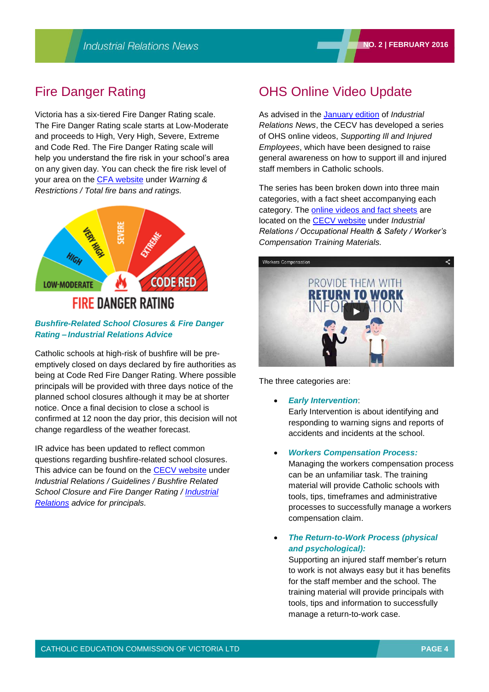## Fire Danger Rating

Victoria has a six-tiered Fire Danger Rating scale. The Fire Danger Rating scale starts at Low-Moderate and proceeds to High, Very High, Severe, Extreme and Code Red. The Fire Danger Rating scale will help you understand the fire risk in your school's area on any given day. You can check the fire risk level of your area on the [CFA website](http://www.cfa.vic.gov.au/warnings-restrictions/total-fire-bans-and-ratings/) under *Warning & Restrictions / Total fire bans and ratings.*



#### *Bushfire-Related School Closures & Fire Danger Rating – Industrial Relations Advice*

Catholic schools at high-risk of bushfire will be preemptively closed on days declared by fire authorities as being at Code Red Fire Danger Rating. Where possible principals will be provided with three days notice of the planned school closures although it may be at shorter notice. Once a final decision to close a school is confirmed at 12 noon the day prior, this decision will not change regardless of the weather forecast.

IR advice has been updated to reflect common questions regarding bushfire-related school closures. This advice can be found on the [CECV website](http://www.cecv.catholic.edu.au/default.htm) under *Industrial Relations / Guidelines / Bushfire Related School Closure and Fire Danger Rating / [Industrial](http://www.cecv.catholic.edu.au/vcsa/guidelines/Bushfire_Resources.pdf)  [Relations](http://www.cecv.catholic.edu.au/vcsa/guidelines/Bushfire_Resources.pdf) advice for principals.*

## OHS Online Video Update

As advised in the [January edition](http://www.cecv.catholic.edu.au/vcsa/newsletters/IR%20News,%20No.%201,%20Jan%202016.pdf) of *Industrial Relations News*, the CECV has developed a series of OHS online videos, *Supporting Ill and Injured Employees*, which have been designed to raise general awareness on how to support ill and injured staff members in Catholic schools.

The series has been broken down into three main categories, with a fact sheet accompanying each category. The [online videos and fact sheets](http://www.cecv.catholic.edu.au/vcsa/ohands/guidelines/return-to-work.htm) are located on the [CECV website](http://www.cecv.catholic.edu.au/default.htm) under *Industrial Relations / Occupational Health & Safety / Worker's Compensation Training Materials.*



The three categories are:

- *Early Intervention*: Early Intervention is about identifying and responding to warning signs and reports of accidents and incidents at the school.
- *Workers Compensation Process:*

Managing the workers compensation process can be an unfamiliar task. The training material will provide Catholic schools with tools, tips, timeframes and administrative processes to successfully manage a workers compensation claim.

 *The Return-to-Work Process (physical and psychological):*

Supporting an injured staff member's return to work is not always easy but it has benefits for the staff member and the school. The training material will provide principals with tools, tips and information to successfully manage a return-to-work case.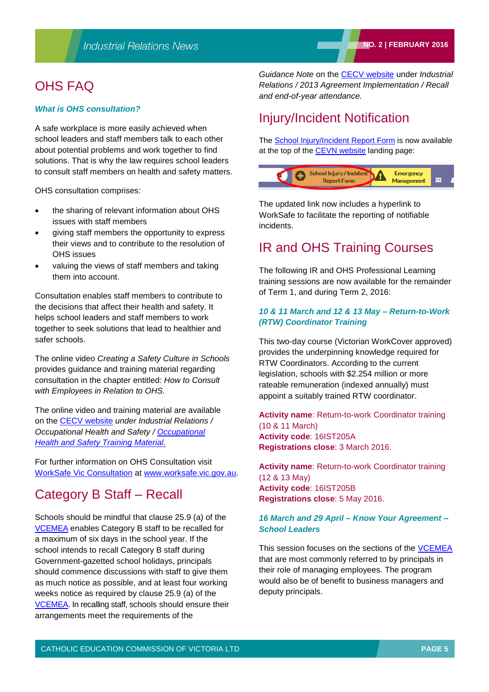## OHS FAQ

#### *What is OHS consultation?*

A safe workplace is more easily achieved when school leaders and staff members talk to each other about potential problems and work together to find solutions. That is why the law requires school leaders to consult staff members on health and safety matters.

OHS consultation comprises:

- the sharing of relevant information about OHS issues with staff members
- giving staff members the opportunity to express their views and to contribute to the resolution of OHS issues
- valuing the views of staff members and taking them into account.

Consultation enables staff members to contribute to the decisions that affect their health and safety. It helps school leaders and staff members to work together to seek solutions that lead to healthier and safer schools.

The online video *Creating a Safety Culture in Schools* provides guidance and training material regarding consultation in the chapter entitled: *How to Consult with Employees in Relation to OHS.*

The online video and training material are available on the [CECV website](http://www.cecv.catholic.edu.au/default.htm) *under Industrial Relations / Occupational Health and Safety / [Occupational](http://www.cecv.catholic.edu.au/vcsa/ohands/ohs_in_schools.html)  [Health and Safety Training Material.](http://www.cecv.catholic.edu.au/vcsa/ohands/ohs_in_schools.html)*

For further information on OHS Consultation visit [WorkSafe Vic Consultation](http://www.worksafe.vic.gov.au/info/__data/assets/pdf_file/0016/14029/Consultation.pdf) at [www.worksafe.vic.gov.au.](http://www.worksafe.vic.gov.au/)

## Category B Staff – Recall

Schools should be mindful that clause 25.9 (a) of the [VCEMEA](http://www.cecv.catholic.edu.au/vcsa/Agreement_2013/VCEMEA_2013.pdf) enables Category B staff to be recalled for a maximum of six days in the school year. If the school intends to recall Category B staff during Government-gazetted school holidays, principals should commence discussions with staff to give them as much notice as possible, and at least four working weeks notice as required by clause 25.9 (a) of the [VCEMEA.](http://www.cecv.catholic.edu.au/vcsa/Agreement_2013/VCEMEA_2013.pdf) In recalling staff, schools should ensure their arrangements meet the requirements of the

*Guidance Note* on the [CECV website](http://www.cecv.catholic.edu.au/default.htm) under *Industrial Relations / 2013 Agreement Implementation / Recall and end-of-year attendance.*

## Injury/Incident Notification

The [School Injury/Incident Report Form](http://cevn.cecv.catholic.edu.au/StaffingIR.aspx?id=5896) is now available at the top of the [CEVN website](http://cevn.cecv.catholic.edu.au/cevnlogin.aspx) landing page:



The updated link now includes a hyperlink to WorkSafe to facilitate the reporting of notifiable incidents.

## IR and OHS Training Courses

The following IR and OHS Professional Learning training sessions are now available for the remainder of Term 1, and during Term 2, 2016:

#### *10 & 11 March and 12 & 13 May – Return-to-Work (RTW) Coordinator Training*

This two-day course (Victorian WorkCover approved) provides the underpinning knowledge required for RTW Coordinators. According to the current legislation, schools with \$2.254 million or more rateable remuneration (indexed annually) must appoint a suitably trained RTW coordinator.

**Activity name**: Return-to-work Coordinator training (10 & 11 March) **Activity code**: 16IST205A **Registrations close**: 3 March 2016.

**Activity name**: Return-to-work Coordinator training (12 & 13 May) **Activity code**: 16IST205B **Registrations close**: 5 May 2016.

#### *16 March and 29 April – Know Your Agreement – School Leaders*

This session focuses on the sections of the [VCEMEA](http://web.cecv.catholic.edu.au/vcsa/Agreement_2013/VCEMEA_2013.pdf) that are most commonly referred to by principals in their role of managing employees. The program would also be of benefit to business managers and deputy principals.